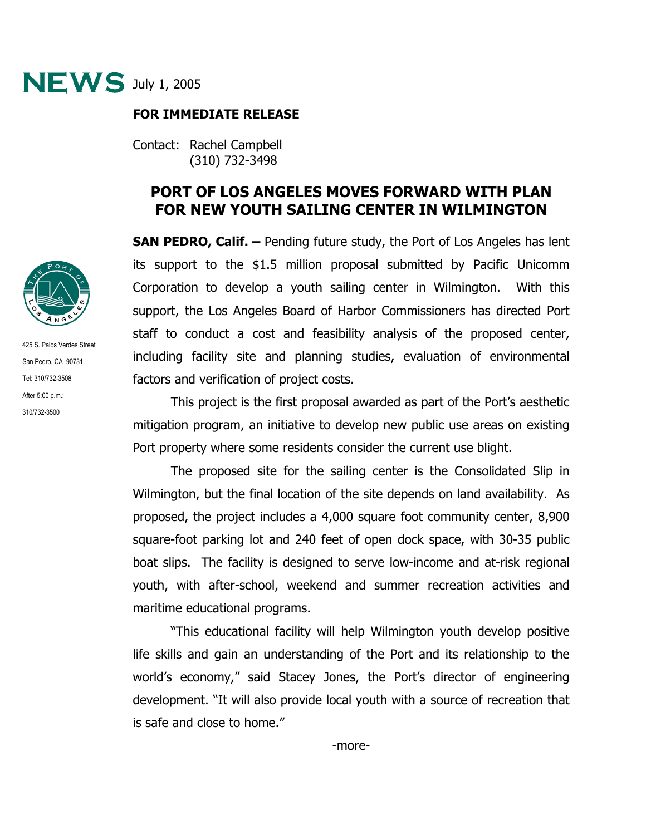

## **FOR IMMEDIATE RELEASE**

Contact: Rachel Campbell (310) 732-3498

## **PORT OF LOS ANGELES MOVES FORWARD WITH PLAN FOR NEW YOUTH SAILING CENTER IN WILMINGTON**

**SAN PEDRO, Calif. –** Pending future study, the Port of Los Angeles has lent its support to the \$1.5 million proposal submitted by Pacific Unicomm Corporation to develop a youth sailing center in Wilmington. With this support, the Los Angeles Board of Harbor Commissioners has directed Port staff to conduct a cost and feasibility analysis of the proposed center, including facility site and planning studies, evaluation of environmental factors and verification of project costs.

This project is the first proposal awarded as part of the Port's aesthetic mitigation program, an initiative to develop new public use areas on existing Port property where some residents consider the current use blight.

The proposed site for the sailing center is the Consolidated Slip in Wilmington, but the final location of the site depends on land availability. As proposed, the project includes a 4,000 square foot community center, 8,900 square-foot parking lot and 240 feet of open dock space, with 30-35 public boat slips. The facility is designed to serve low-income and at-risk regional youth, with after-school, weekend and summer recreation activities and maritime educational programs.

"This educational facility will help Wilmington youth develop positive life skills and gain an understanding of the Port and its relationship to the world's economy," said Stacey Jones, the Port's director of engineering development. "It will also provide local youth with a source of recreation that is safe and close to home."



425 S. Palos Verdes Street San Pedro, CA 90731 Tel: 310/732-3508 After 5:00 p.m.: 310/732-3500